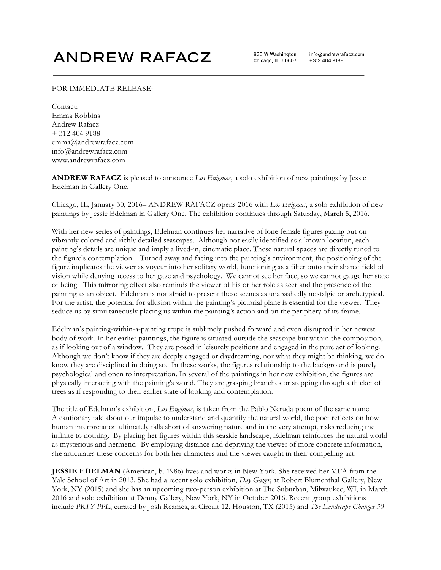## **ANDREW RAFACZ**

835 W Washington Chicago, IL 60607 info@andrewrafacz.com +312 404 9188

## FOR IMMEDIATE RELEASE:

Contact: Emma Robbins Andrew Rafacz + 312 404 9188 emma@andrewrafacz.com info@andrewrafacz.com www.andrewrafacz.com

**ANDREW RAFACZ** is pleased to announce *Los Enigmas*, a solo exhibition of new paintings by Jessie Edelman in Gallery One.

Chicago, IL, January 30, 2016– ANDREW RAFACZ opens 2016 with *Los Enigmas*, a solo exhibition of new paintings by Jessie Edelman in Gallery One. The exhibition continues through Saturday, March 5, 2016.

With her new series of paintings, Edelman continues her narrative of lone female figures gazing out on vibrantly colored and richly detailed seascapes. Although not easily identified as a known location, each painting's details are unique and imply a lived-in, cinematic place. These natural spaces are directly tuned to the figure's contemplation. Turned away and facing into the painting's environment, the positioning of the figure implicates the viewer as voyeur into her solitary world, functioning as a filter onto their shared field of vision while denying access to her gaze and psychology. We cannot see her face, so we cannot gauge her state of being. This mirroring effect also reminds the viewer of his or her role as seer and the presence of the painting as an object. Edelman is not afraid to present these scenes as unabashedly nostalgic or archetypical. For the artist, the potential for allusion within the painting's pictorial plane is essential for the viewer. They seduce us by simultaneously placing us within the painting's action and on the periphery of its frame.

Edelman's painting-within-a-painting trope is sublimely pushed forward and even disrupted in her newest body of work. In her earlier paintings, the figure is situated outside the seascape but within the composition, as if looking out of a window. They are posed in leisurely positions and engaged in the pure act of looking. Although we don't know if they are deeply engaged or daydreaming, nor what they might be thinking, we do know they are disciplined in doing so. In these works, the figures relationship to the background is purely psychological and open to interpretation. In several of the paintings in her new exhibition, the figures are physically interacting with the painting's world. They are grasping branches or stepping through a thicket of trees as if responding to their earlier state of looking and contemplation.

The title of Edelman's exhibition, *Los Engimas*, is taken from the Pablo Neruda poem of the same name. A cautionary tale about our impulse to understand and quantify the natural world, the poet reflects on how human interpretation ultimately falls short of answering nature and in the very attempt, risks reducing the infinite to nothing. By placing her figures within this seaside landscape, Edelman reinforces the natural world as mysterious and hermetic. By employing distance and depriving the viewer of more concrete information, she articulates these concerns for both her characters and the viewer caught in their compelling act.

**JESSIE EDELMAN** (American, b. 1986) lives and works in New York. She received her MFA from the Yale School of Art in 2013. She had a recent solo exhibition, *Day Gazer*, at Robert Blumenthal Gallery, New York, NY (2015) and she has an upcoming two-person exhibition at The Suburban, Milwaukee, WI, in March 2016 and solo exhibition at Denny Gallery, New York, NY in October 2016. Recent group exhibitions include *PRTY PPL*, curated by Josh Reames, at Circuit 12, Houston, TX (2015) and *The Landscape Changes 30*